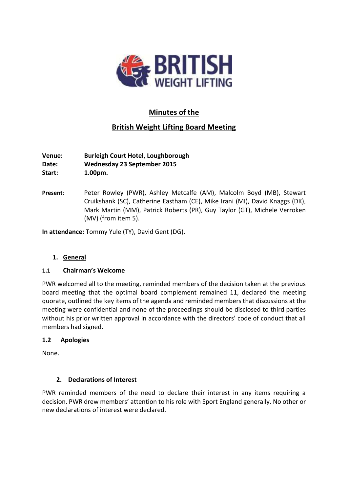

# **Minutes of the**

# **British Weight Lifting Board Meeting**

**Venue: Burleigh Court Hotel, Loughborough Date: Wednesday 23 September 2015 Start: 1.00pm.**

**Present**: Peter Rowley (PWR), Ashley Metcalfe (AM), Malcolm Boyd (MB), Stewart Cruikshank (SC), Catherine Eastham (CE), Mike Irani (MI), David Knaggs (DK), Mark Martin (MM), Patrick Roberts (PR), Guy Taylor (GT), Michele Verroken (MV) (from item 5).

**In attendance:** Tommy Yule (TY), David Gent (DG).

# **1. General**

# **1.1 Chairman's Welcome**

PWR welcomed all to the meeting, reminded members of the decision taken at the previous board meeting that the optimal board complement remained 11, declared the meeting quorate, outlined the key items of the agenda and reminded members that discussions at the meeting were confidential and none of the proceedings should be disclosed to third parties without his prior written approval in accordance with the directors' code of conduct that all members had signed.

# **1.2 Apologies**

None.

# **2. Declarations of Interest**

PWR reminded members of the need to declare their interest in any items requiring a decision. PWR drew members' attention to his role with Sport England generally. No other or new declarations of interest were declared.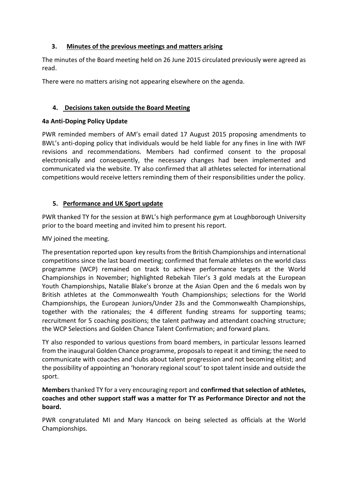# **3. Minutes of the previous meetings and matters arising**

The minutes of the Board meeting held on 26 June 2015 circulated previously were agreed as read.

There were no matters arising not appearing elsewhere on the agenda.

# **4. Decisions taken outside the Board Meeting**

# **4a Anti-Doping Policy Update**

PWR reminded members of AM's email dated 17 August 2015 proposing amendments to BWL's anti-doping policy that individuals would be held liable for any fines in line with IWF revisions and recommendations. Members had confirmed consent to the proposal electronically and consequently, the necessary changes had been implemented and communicated via the website. TY also confirmed that all athletes selected for international competitions would receive letters reminding them of their responsibilities under the policy.

# **5. Performance and UK Sport update**

PWR thanked TY for the session at BWL's high performance gym at Loughborough University prior to the board meeting and invited him to present his report.

MV joined the meeting.

The presentation reported upon key results from the British Championships and international competitions since the last board meeting; confirmed that female athletes on the world class programme (WCP) remained on track to achieve performance targets at the World Championships in November; highlighted Rebekah Tiler's 3 gold medals at the European Youth Championships, Natalie Blake's bronze at the Asian Open and the 6 medals won by British athletes at the Commonwealth Youth Championships; selections for the World Championships, the European Juniors/Under 23s and the Commonwealth Championships, together with the rationales; the 4 different funding streams for supporting teams; recruitment for 5 coaching positions; the talent pathway and attendant coaching structure; the WCP Selections and Golden Chance Talent Confirmation; and forward plans.

TY also responded to various questions from board members, in particular lessons learned from the inaugural Golden Chance programme, proposals to repeat it and timing; the need to communicate with coaches and clubs about talent progression and not becoming elitist; and the possibility of appointing an 'honorary regional scout' to spot talent inside and outside the sport.

**Members** thanked TY for a very encouraging report and **confirmed that selection of athletes, coaches and other support staff was a matter for TY as Performance Director and not the board.**

PWR congratulated MI and Mary Hancock on being selected as officials at the World Championships.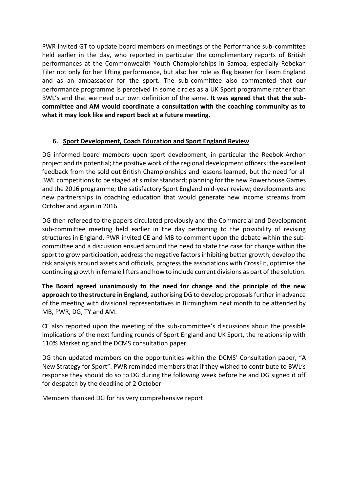PWR invited GT to update board members on meetings of the Performance sub-committee held earlier in the day, who reported in particular the complimentary reports of British performances at the Commonwealth Youth Championships in Samoa, especially Rebekah Tiler not only for her lifting performance, but also her role as flag bearer for Team England and as an ambassador for the sport. The sub-committee also commented that our performance programme is perceived in some circles as a UK Sport programme rather than BWL's and that we need our own definition of the same. **It was agreed that that the subcommittee and AM would coordinate a consultation with the coaching community as to what it may look like and report back at a future meeting.**

# **6. Sport Development, Coach Education and Sport England Review**

DG informed board members upon sport development, in particular the Reebok-Archon project and its potential; the positive work of the regional development officers; the excellent feedback from the sold out British Championships and lessons learned, but the need for all BWL competitions to be staged at similar standard; planning for the new Powerhouse Games and the 2016 programme; the satisfactory Sport England mid-year review; developments and new partnerships in coaching education that would generate new income streams from October and again in 2016.

DG then refereed to the papers circulated previously and the Commercial and Development sub-committee meeting held earlier in the day pertaining to the possibility of revising structures in England. PWR invited CE and MB to comment upon the debate within the subcommittee and a discussion ensued around the need to state the case for change within the sport to grow participation, address the negative factors inhibiting better growth, develop the risk analysis around assets and officials, progress the associations with CrossFit, optimise the continuing growth in female lifters and how to include current divisions as part of the solution.

**The Board agreed unanimously to the need for change and the principle of the new approach to the structure in England,** authorising DG to develop proposals further in advance of the meeting with divisional representatives in Birmingham next month to be attended by MB, PWR, DG, TY and AM.

CE also reported upon the meeting of the sub-committee's discussions about the possible implications of the next funding rounds of Sport England and UK Sport, the relationship with 110% Marketing and the DCMS consultation paper.

DG then updated members on the opportunities within the DCMS' Consultation paper, "A New Strategy for Sport". PWR reminded members that if they wished to contribute to BWL's response they should do so to DG during the following week before he and DG signed it off for despatch by the deadline of 2 October.

Members thanked DG for his very comprehensive report.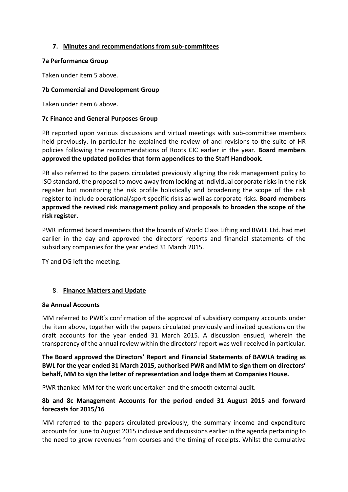# **7. Minutes and recommendations from sub-committees**

### **7a Performance Group**

Taken under item 5 above.

### **7b Commercial and Development Group**

Taken under item 6 above.

#### **7c Finance and General Purposes Group**

PR reported upon various discussions and virtual meetings with sub-committee members held previously. In particular he explained the review of and revisions to the suite of HR policies following the recommendations of Roots CIC earlier in the year. **Board members approved the updated policies that form appendices to the Staff Handbook.**

PR also referred to the papers circulated previously aligning the risk management policy to ISO standard, the proposal to move away from looking at individual corporate risks in the risk register but monitoring the risk profile holistically and broadening the scope of the risk register to include operational/sport specific risks as well as corporate risks. **Board members approved the revised risk management policy and proposals to broaden the scope of the risk register.**

PWR informed board members that the boards of World Class Lifting and BWLE Ltd. had met earlier in the day and approved the directors' reports and financial statements of the subsidiary companies for the year ended 31 March 2015.

TY and DG left the meeting.

# 8. **Finance Matters and Update**

#### **8a Annual Accounts**

MM referred to PWR's confirmation of the approval of subsidiary company accounts under the item above, together with the papers circulated previously and invited questions on the draft accounts for the year ended 31 March 2015. A discussion ensued, wherein the transparency of the annual review within the directors' report was well received in particular.

**The Board approved the Directors' Report and Financial Statements of BAWLA trading as BWL for the year ended 31 March 2015, authorised PWR and MM to sign them on directors' behalf, MM to sign the letter of representation and lodge them at Companies House.**

PWR thanked MM for the work undertaken and the smooth external audit.

# **8b and 8c Management Accounts for the period ended 31 August 2015 and forward forecasts for 2015/16**

MM referred to the papers circulated previously, the summary income and expenditure accounts for June to August 2015 inclusive and discussions earlier in the agenda pertaining to the need to grow revenues from courses and the timing of receipts. Whilst the cumulative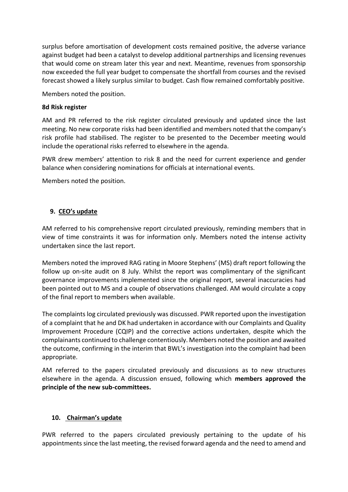surplus before amortisation of development costs remained positive, the adverse variance against budget had been a catalyst to develop additional partnerships and licensing revenues that would come on stream later this year and next. Meantime, revenues from sponsorship now exceeded the full year budget to compensate the shortfall from courses and the revised forecast showed a likely surplus similar to budget. Cash flow remained comfortably positive.

Members noted the position.

#### **8d Risk register**

AM and PR referred to the risk register circulated previously and updated since the last meeting. No new corporate risks had been identified and members noted that the company's risk profile had stabilised. The register to be presented to the December meeting would include the operational risks referred to elsewhere in the agenda.

PWR drew members' attention to risk 8 and the need for current experience and gender balance when considering nominations for officials at international events.

Members noted the position.

# **9. CEO's update**

AM referred to his comprehensive report circulated previously, reminding members that in view of time constraints it was for information only. Members noted the intense activity undertaken since the last report.

Members noted the improved RAG rating in Moore Stephens' (MS) draft report following the follow up on-site audit on 8 July. Whilst the report was complimentary of the significant governance improvements implemented since the original report, several inaccuracies had been pointed out to MS and a couple of observations challenged. AM would circulate a copy of the final report to members when available.

The complaints log circulated previously was discussed. PWR reported upon the investigation of a complaint that he and DK had undertaken in accordance with our Complaints and Quality Improvement Procedure (CQIP) and the corrective actions undertaken, despite which the complainants continued to challenge contentiously. Members noted the position and awaited the outcome, confirming in the interim that BWL's investigation into the complaint had been appropriate.

AM referred to the papers circulated previously and discussions as to new structures elsewhere in the agenda. A discussion ensued, following which **members approved the principle of the new sub-committees.** 

# **10. Chairman's update**

PWR referred to the papers circulated previously pertaining to the update of his appointments since the last meeting, the revised forward agenda and the need to amend and